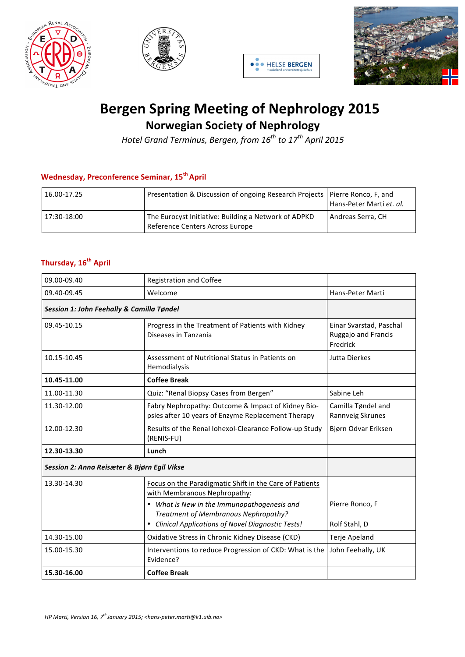







## **Bergen Spring Meeting of Nephrology 2015 Norwegian Society of Nephrology**

*Hotel Grand Terminus, Bergen, from*  $16^{th}$  *to*  $17^{th}$  *April* 2015

## **Wednesday, Preconference Seminar, 15<sup>th</sup> April**

| 16.00-17.25 | Presentation & Discussion of ongoing Research Projects   Pierre Ronco, F, and           | Hans-Peter Marti et. al. |
|-------------|-----------------------------------------------------------------------------------------|--------------------------|
| 17:30-18:00 | The Eurocyst Initiative: Building a Network of ADPKD<br>Reference Centers Across Europe | Andreas Serra, CH        |

## **Thursday, 16<sup>th</sup> April**

| 09.00-09.40                                 | Registration and Coffee                                                                                  |                                                            |
|---------------------------------------------|----------------------------------------------------------------------------------------------------------|------------------------------------------------------------|
| 09.40-09.45                                 | Welcome                                                                                                  | Hans-Peter Marti                                           |
| Session 1: John Feehally & Camilla Tøndel   |                                                                                                          |                                                            |
| 09.45-10.15                                 | Progress in the Treatment of Patients with Kidney<br>Diseases in Tanzania                                | Einar Svarstad, Paschal<br>Ruggajo and Francis<br>Fredrick |
| 10.15-10.45                                 | Assessment of Nutritional Status in Patients on<br>Hemodialysis                                          | <b>Jutta Dierkes</b>                                       |
| 10.45-11.00                                 | <b>Coffee Break</b>                                                                                      |                                                            |
| 11.00-11.30                                 | Quiz: "Renal Biopsy Cases from Bergen"                                                                   | Sabine Leh                                                 |
| 11.30-12.00                                 | Fabry Nephropathy: Outcome & Impact of Kidney Bio-<br>psies after 10 years of Enzyme Replacement Therapy | Camilla Tøndel and<br>Rannveig Skrunes                     |
| 12.00-12.30                                 | Results of the Renal Iohexol-Clearance Follow-up Study<br>(RENIS-FU)                                     | Bjørn Odvar Eriksen                                        |
| 12.30-13.30                                 | Lunch                                                                                                    |                                                            |
| Session 2: Anna Reisæter & Bjørn Egil Vikse |                                                                                                          |                                                            |
| 13.30-14.30                                 | Focus on the Paradigmatic Shift in the Care of Patients<br>with Membranous Nephropathy:                  |                                                            |
|                                             | • What is New in the Immunopathogenesis and<br>Treatment of Membranous Nephropathy?                      | Pierre Ronco, F                                            |
|                                             | <b>Clinical Applications of Novel Diagnostic Tests!</b><br>$\bullet$                                     | Rolf Stahl, D                                              |
| 14.30-15.00                                 | Oxidative Stress in Chronic Kidney Disease (CKD)                                                         | Terje Apeland                                              |
| 15.00-15.30                                 | Interventions to reduce Progression of CKD: What is the<br>Evidence?                                     | John Feehally, UK                                          |
| 15.30-16.00                                 | <b>Coffee Break</b>                                                                                      |                                                            |